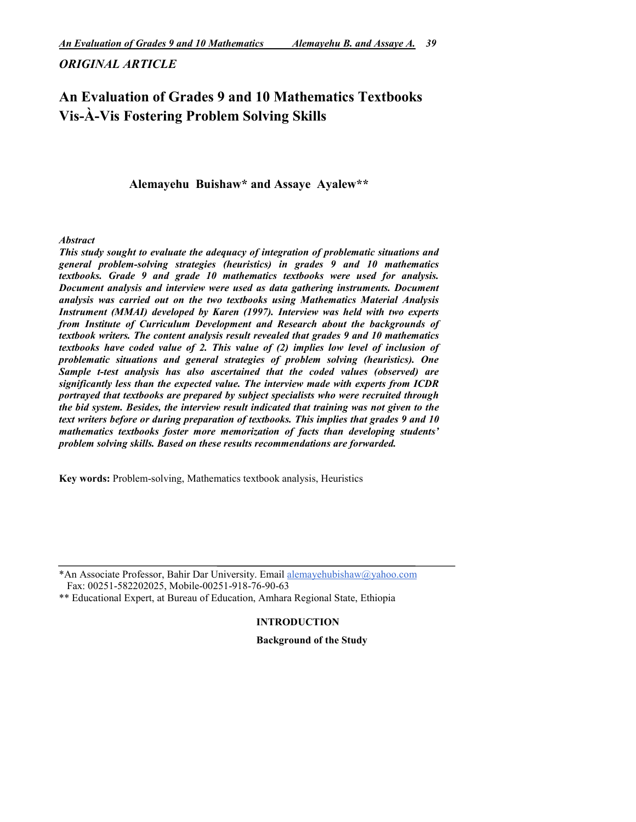# *ORIGINAL ARTICLE*

# An Evaluation of Grades 9 and 10 Mathematics Textbooks Vis-À-Vis Fostering Problem Solving Skills

Alemayehu Buishaw\* and Assaye Ayalew\*\*

*Abstract*

*This study sought to evaluate the adequacy of integration of problematic situations and general problem-solving strategies (heuristics) in grades 9 and 10 mathematics textbooks. Grade 9 and grade 10 mathematics textbooks were used for analysis. Document analysis and interview were used as data gathering instruments. Document analysis was carried out on the two textbooks using Mathematics Material Analysis Instrument (MMAI) developed by Karen (1997). Interview was held with two experts from Institute of Curriculum Development and Research about the backgrounds of textbook writers. The content analysis result revealed that grades 9 and 10 mathematics textbooks have coded value of 2. This value of (2) implies low level of inclusion of problematic situations and general strategies of problem solving (heuristics). One Sample t-test analysis has also ascertained that the coded values (observed) are significantly less than the expected value. The interview made with experts from ICDR portrayed that textbooks are prepared by subject specialists who were recruited through the bid system. Besides, the interview result indicated that training was not given to the text writers before or during preparation of textbooks. This implies that grades 9 and 10 mathematics textbooks foster more memorization of facts than developing students' problem solving skills. Based on these results recommendations are forwarded.* 

Key words: Problem-solving, Mathematics textbook analysis, Heuristics

\*An Associate Professor, Bahir Dar University. Email alemayehubishaw@yahoo.com Fax: 00251-582202025, Mobile-00251-918-76-90-63

\*\* Educational Expert, at Bureau of Education, Amhara Regional State, Ethiopia

INTRODUCTION

Background of the Study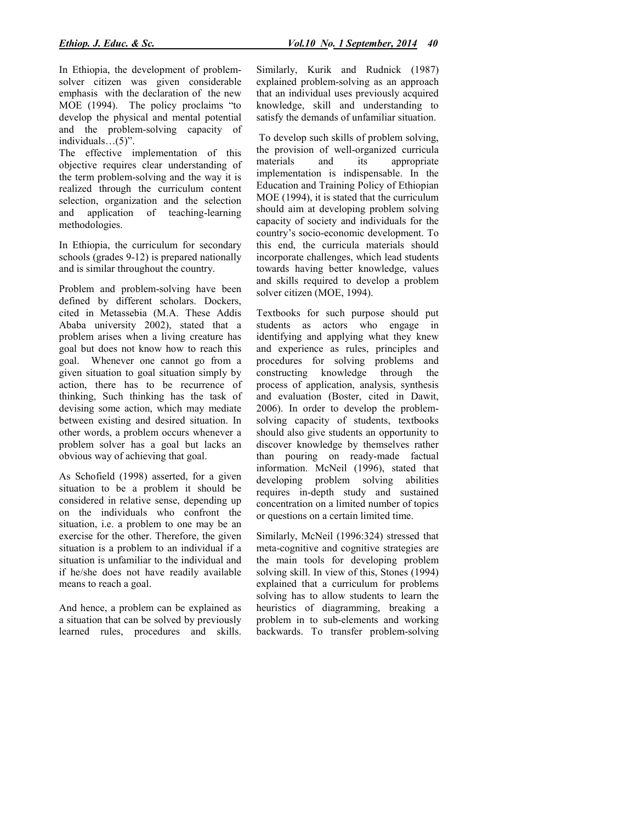In Ethiopia, the development of problemsolver citizen was given considerable emphasis with the declaration of the new MOE (1994). The policy proclaims "to develop the physical and mental potential and the problem-solving capacity of individuals…(5)".

The effective implementation of this objective requires clear understanding of the term problem-solving and the way it is realized through the curriculum content selection, organization and the selection and application of teaching-learning methodologies.

In Ethiopia, the curriculum for secondary schools (grades 9-12) is prepared nationally and is similar throughout the country.

Problem and problem-solving have been defined by different scholars. Dockers, cited in Metassebia (M.A. These Addis Ababa university 2002), stated that a problem arises when a living creature has goal but does not know how to reach this goal. Whenever one cannot go from a given situation to goal situation simply by action, there has to be recurrence of thinking, Such thinking has the task of devising some action, which may mediate between existing and desired situation. In other words, a problem occurs whenever a problem solver has a goal but lacks an obvious way of achieving that goal.

As Schofield (1998) asserted, for a given situation to be a problem it should be considered in relative sense, depending up on the individuals who confront the situation, i.e. a problem to one may be an exercise for the other. Therefore, the given situation is a problem to an individual if a situation is unfamiliar to the individual and if he/she does not have readily available means to reach a goal.

And hence, a problem can be explained as a situation that can be solved by previously learned rules, procedures and skills.

Similarly, Kurik and Rudnick (1987) explained problem-solving as an approach that an individual uses previously acquired knowledge, skill and understanding to satisfy the demands of unfamiliar situation.

To develop such skills of problem solving, the provision of well-organized curricula materials and its appropriate implementation is indispensable. In the Education and Training Policy of Ethiopian MOE (1994), it is stated that the curriculum should aim at developing problem solving capacity of society and individuals for the country's socio-economic development. To this end, the curricula materials should incorporate challenges, which lead students towards having better knowledge, values and skills required to develop a problem solver citizen (MOE, 1994).

Textbooks for such purpose should put students as actors who engage in identifying and applying what they knew and experience as rules, principles and procedures for solving problems and constructing knowledge through the process of application, analysis, synthesis and evaluation (Boster, cited in Dawit, 2006). In order to develop the problemsolving capacity of students, textbooks should also give students an opportunity to discover knowledge by themselves rather than pouring on ready-made factual information. McNeil (1996), stated that developing problem solving abilities requires in-depth study and sustained concentration on a limited number of topics or questions on a certain limited time.

Similarly, McNeil (1996:324) stressed that meta-cognitive and cognitive strategies are the main tools for developing problem solving skill. In view of this, Stones (1994) explained that a curriculum for problems solving has to allow students to learn the heuristics of diagramming, breaking a problem in to sub-elements and working backwards. To transfer problem-solving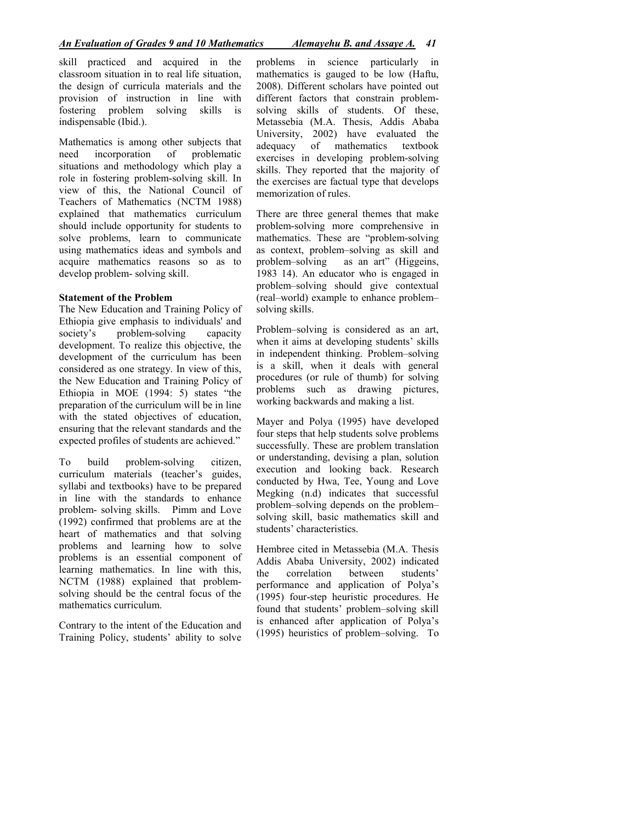skill practiced and acquired in the classroom situation in to real life situation, the design of curricula materials and the provision of instruction in line with fostering problem solving skills is indispensable (Ibid.).

Mathematics is among other subjects that need incorporation of problematic situations and methodology which play a role in fostering problem-solving skill. In view of this, the National Council of Teachers of Mathematics (NCTM 1988) explained that mathematics curriculum should include opportunity for students to solve problems, learn to communicate using mathematics ideas and symbols and acquire mathematics reasons so as to develop problem- solving skill.

#### Statement of the Problem

The New Education and Training Policy of Ethiopia give emphasis to individuals' and society's problem-solving capacity development. To realize this objective, the development of the curriculum has been considered as one strategy. In view of this, the New Education and Training Policy of Ethiopia in MOE (1994: 5) states "the preparation of the curriculum will be in line with the stated objectives of education, ensuring that the relevant standards and the expected profiles of students are achieved."

To build problem-solving citizen, curriculum materials (teacher's guides, syllabi and textbooks) have to be prepared in line with the standards to enhance problem- solving skills. Pimm and Love (1992) confirmed that problems are at the heart of mathematics and that solving problems and learning how to solve problems is an essential component of learning mathematics. In line with this, NCTM (1988) explained that problemsolving should be the central focus of the mathematics curriculum.

Contrary to the intent of the Education and Training Policy, students' ability to solve problems in science particularly in mathematics is gauged to be low (Haftu, 2008). Different scholars have pointed out different factors that constrain problemsolving skills of students. Of these, Metassebia (M.A. Thesis, Addis Ababa University, 2002) have evaluated the adequacy of mathematics textbook exercises in developing problem-solving skills. They reported that the majority of the exercises are factual type that develops memorization of rules.

There are three general themes that make problem-solving more comprehensive in mathematics. These are "problem-solving as context, problem–solving as skill and problem–solving as an art" (Higgeins, 1983 14). An educator who is engaged in problem–solving should give contextual (real–world) example to enhance problem– solving skills.

Problem–solving is considered as an art, when it aims at developing students' skills in independent thinking. Problem–solving is a skill, when it deals with general procedures (or rule of thumb) for solving problems such as drawing pictures, working backwards and making a list.

Mayer and Polya (1995) have developed four steps that help students solve problems successfully. These are problem translation or understanding, devising a plan, solution execution and looking back. Research conducted by Hwa, Tee, Young and Love Megking (n.d) indicates that successful problem–solving depends on the problem– solving skill, basic mathematics skill and students' characteristics.

Hembree cited in Metassebia (M.A. Thesis Addis Ababa University, 2002) indicated the correlation between students' performance and application of Polya's (1995) four-step heuristic procedures. He found that students' problem–solving skill is enhanced after application of Polya's (1995) heuristics of problem–solving. To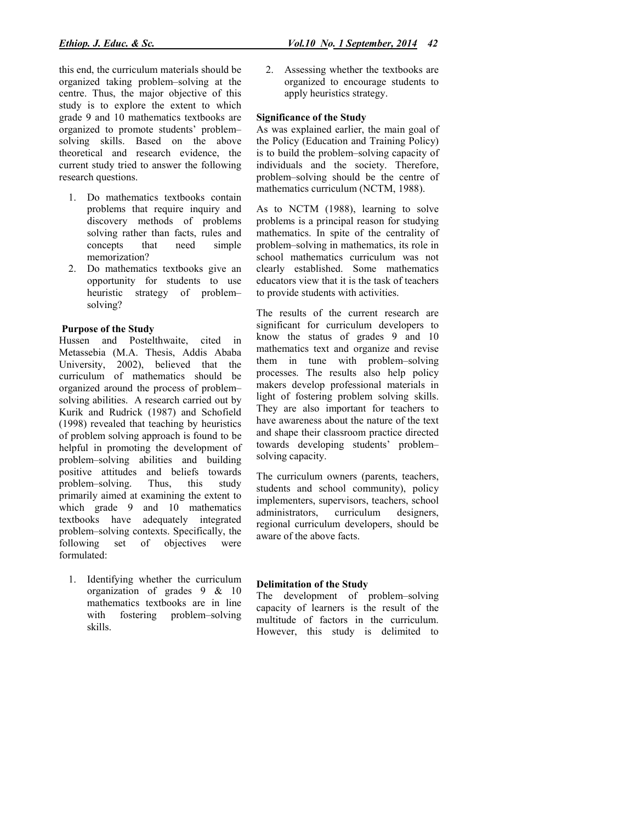this end, the curriculum materials should be organized taking problem–solving at the centre. Thus, the major objective of this study is to explore the extent to which grade 9 and 10 mathematics textbooks are organized to promote students' problem– solving skills. Based on the above theoretical and research evidence, the current study tried to answer the following research questions.

- 1. Do mathematics textbooks contain problems that require inquiry and discovery methods of problems solving rather than facts, rules and concepts that need simple memorization?
- 2. Do mathematics textbooks give an opportunity for students to use heuristic strategy of problem– solving?

# Purpose of the Study

Hussen and Postelthwaite, cited in Metassebia (M.A. Thesis, Addis Ababa University, 2002), believed that the curriculum of mathematics should be organized around the process of problem– solving abilities. A research carried out by Kurik and Rudrick (1987) and Schofield (1998) revealed that teaching by heuristics of problem solving approach is found to be helpful in promoting the development of problem–solving abilities and building positive attitudes and beliefs towards problem–solving. Thus, this study primarily aimed at examining the extent to which grade 9 and 10 mathematics textbooks have adequately integrated problem–solving contexts. Specifically, the following set of objectives were set of objectives were formulated:

1. Identifying whether the curriculum organization of grades 9 & 10 mathematics textbooks are in line with fostering problem–solving skills.

2. Assessing whether the textbooks are organized to encourage students to apply heuristics strategy.

#### Significance of the Study

As was explained earlier, the main goal of the Policy (Education and Training Policy) is to build the problem–solving capacity of individuals and the society. Therefore, problem–solving should be the centre of mathematics curriculum (NCTM, 1988).

As to NCTM (1988), learning to solve problems is a principal reason for studying mathematics. In spite of the centrality of problem–solving in mathematics, its role in school mathematics curriculum was not clearly established. Some mathematics educators view that it is the task of teachers to provide students with activities.

The results of the current research are significant for curriculum developers to know the status of grades 9 and 10 mathematics text and organize and revise them in tune with problem–solving processes. The results also help policy makers develop professional materials in light of fostering problem solving skills. They are also important for teachers to have awareness about the nature of the text and shape their classroom practice directed towards developing students' problem– solving capacity.

The curriculum owners (parents, teachers, students and school community), policy implementers, supervisors, teachers, school administrators, curriculum designers, regional curriculum developers, should be aware of the above facts.

# Delimitation of the Study

The development of problem–solving capacity of learners is the result of the multitude of factors in the curriculum. However, this study is delimited to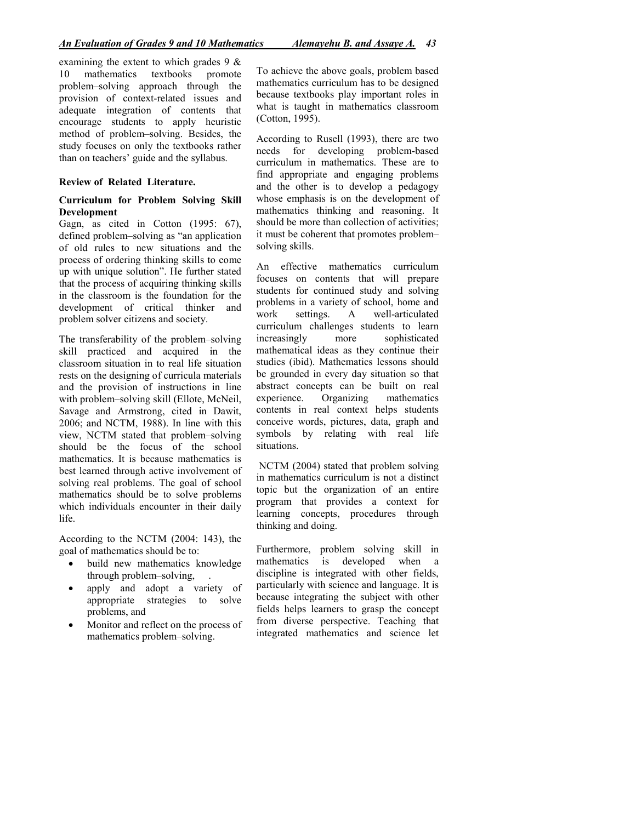examining the extent to which grades  $9 \&$ 10 mathematics textbooks promote problem–solving approach through the provision of context-related issues and adequate integration of contents that encourage students to apply heuristic method of problem–solving. Besides, the study focuses on only the textbooks rather than on teachers' guide and the syllabus.

#### Review of Related Literature.

#### Curriculum for Problem Solving Skill Development

Gagn, as cited in Cotton (1995: 67), defined problem–solving as "an application of old rules to new situations and the process of ordering thinking skills to come up with unique solution". He further stated that the process of acquiring thinking skills in the classroom is the foundation for the development of critical thinker and problem solver citizens and society.

The transferability of the problem–solving skill practiced and acquired in the classroom situation in to real life situation rests on the designing of curricula materials and the provision of instructions in line with problem–solving skill (Ellote, McNeil, Savage and Armstrong, cited in Dawit, 2006; and NCTM, 1988). In line with this view, NCTM stated that problem–solving should be the focus of the school mathematics. It is because mathematics is best learned through active involvement of solving real problems. The goal of school mathematics should be to solve problems which individuals encounter in their daily life.

According to the NCTM (2004: 143), the goal of mathematics should be to:

- build new mathematics knowledge through problem–solving, .
- apply and adopt a variety of appropriate strategies to solve problems, and
- Monitor and reflect on the process of mathematics problem–solving.

To achieve the above goals, problem based mathematics curriculum has to be designed because textbooks play important roles in what is taught in mathematics classroom (Cotton, 1995).

According to Rusell (1993), there are two needs for developing problem-based curriculum in mathematics. These are to find appropriate and engaging problems and the other is to develop a pedagogy whose emphasis is on the development of mathematics thinking and reasoning. It should be more than collection of activities; it must be coherent that promotes problem– solving skills.

An effective mathematics curriculum focuses on contents that will prepare students for continued study and solving problems in a variety of school, home and work settings. A well-articulated curriculum challenges students to learn increasingly more sophisticated mathematical ideas as they continue their studies (ibid). Mathematics lessons should be grounded in every day situation so that abstract concepts can be built on real experience. Organizing mathematics contents in real context helps students conceive words, pictures, data, graph and symbols by relating with real life situations.

NCTM (2004) stated that problem solving in mathematics curriculum is not a distinct topic but the organization of an entire program that provides a context for learning concepts, procedures through thinking and doing.

Furthermore, problem solving skill in mathematics is developed when a discipline is integrated with other fields, particularly with science and language. It is because integrating the subject with other fields helps learners to grasp the concept from diverse perspective. Teaching that integrated mathematics and science let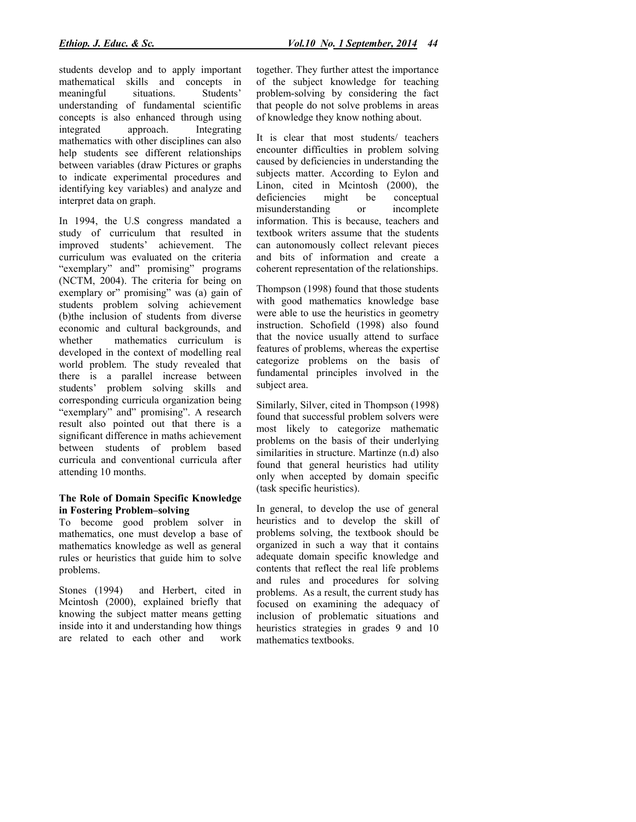students develop and to apply important mathematical skills and concepts in meaningful situations. Students' understanding of fundamental scientific concepts is also enhanced through using integrated approach. Integrating mathematics with other disciplines can also help students see different relationships between variables (draw Pictures or graphs to indicate experimental procedures and identifying key variables) and analyze and interpret data on graph.

In 1994, the U.S congress mandated a study of curriculum that resulted in improved students' achievement. The curriculum was evaluated on the criteria "exemplary" and" promising" programs (NCTM, 2004). The criteria for being on exemplary or" promising" was (a) gain of students problem solving achievement (b)the inclusion of students from diverse economic and cultural backgrounds, and whether mathematics curriculum is developed in the context of modelling real world problem. The study revealed that there is a parallel increase between students' problem solving skills and corresponding curricula organization being "exemplary" and" promising". A research result also pointed out that there is a significant difference in maths achievement between students of problem based curricula and conventional curricula after attending 10 months.

#### The Role of Domain Specific Knowledge in Fostering Problem–solving

To become good problem solver in mathematics, one must develop a base of mathematics knowledge as well as general rules or heuristics that guide him to solve problems.

Stones (1994) and Herbert, cited in Mcintosh (2000), explained briefly that knowing the subject matter means getting inside into it and understanding how things are related to each other and work together. They further attest the importance of the subject knowledge for teaching problem-solving by considering the fact that people do not solve problems in areas of knowledge they know nothing about.

It is clear that most students/ teachers encounter difficulties in problem solving caused by deficiencies in understanding the subjects matter. According to Eylon and Linon, cited in Mcintosh (2000), the deficiencies might be conceptual misunderstanding or incomplete information. This is because, teachers and textbook writers assume that the students can autonomously collect relevant pieces and bits of information and create a coherent representation of the relationships.

Thompson (1998) found that those students with good mathematics knowledge base were able to use the heuristics in geometry instruction. Schofield (1998) also found that the novice usually attend to surface features of problems, whereas the expertise categorize problems on the basis of fundamental principles involved in the subject area.

Similarly, Silver, cited in Thompson (1998) found that successful problem solvers were most likely to categorize mathematic problems on the basis of their underlying similarities in structure. Martinze (n.d) also found that general heuristics had utility only when accepted by domain specific (task specific heuristics).

In general, to develop the use of general heuristics and to develop the skill of problems solving, the textbook should be organized in such a way that it contains adequate domain specific knowledge and contents that reflect the real life problems and rules and procedures for solving problems. As a result, the current study has focused on examining the adequacy of inclusion of problematic situations and heuristics strategies in grades 9 and 10 mathematics textbooks.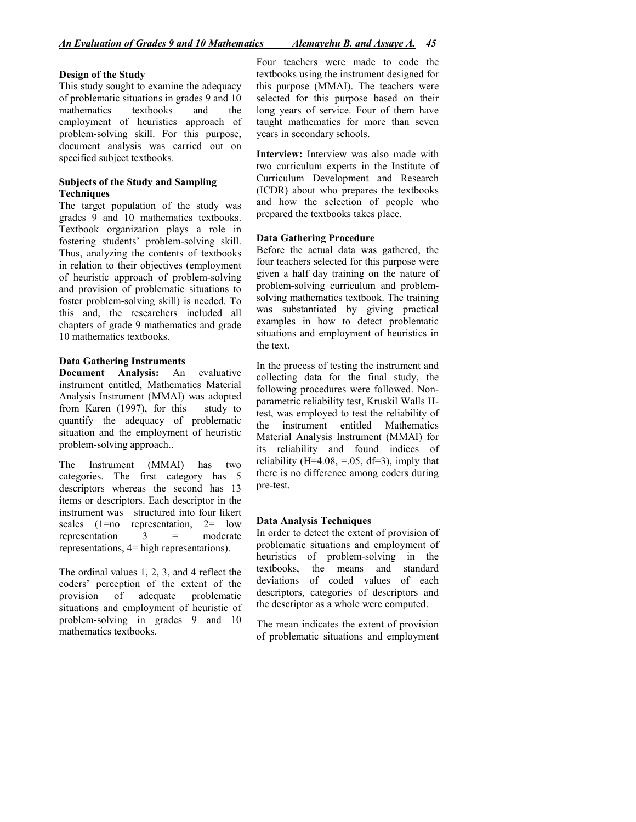#### Design of the Study

This study sought to examine the adequacy of problematic situations in grades 9 and 10 mathematics textbooks and the employment of heuristics approach of problem-solving skill. For this purpose, document analysis was carried out on specified subject textbooks.

#### Subjects of the Study and Sampling **Techniques**

The target population of the study was grades 9 and 10 mathematics textbooks. Textbook organization plays a role in fostering students' problem-solving skill. Thus, analyzing the contents of textbooks in relation to their objectives (employment of heuristic approach of problem-solving and provision of problematic situations to foster problem-solving skill) is needed. To this and, the researchers included all chapters of grade 9 mathematics and grade 10 mathematics textbooks.

#### Data Gathering Instruments

Document Analysis: An evaluative instrument entitled, Mathematics Material Analysis Instrument (MMAI) was adopted from Karen (1997), for this study to quantify the adequacy of problematic situation and the employment of heuristic problem-solving approach..

The Instrument (MMAI) has two categories. The first category has 5 descriptors whereas the second has 13 items or descriptors. Each descriptor in the instrument was structured into four likert scales (1=no representation, 2= low<br>representation  $3 =$  moderate representation  $3 =$ representations, 4= high representations).

The ordinal values 1, 2, 3, and 4 reflect the coders' perception of the extent of the provision of adequate problematic situations and employment of heuristic of problem-solving in grades 9 and 10 mathematics textbooks.

Four teachers were made to code the textbooks using the instrument designed for this purpose (MMAI). The teachers were selected for this purpose based on their long years of service. Four of them have taught mathematics for more than seven years in secondary schools.

Interview: Interview was also made with two curriculum experts in the Institute of Curriculum Development and Research (ICDR) about who prepares the textbooks and how the selection of people who prepared the textbooks takes place.

#### Data Gathering Procedure

Before the actual data was gathered, the four teachers selected for this purpose were given a half day training on the nature of problem-solving curriculum and problemsolving mathematics textbook. The training was substantiated by giving practical examples in how to detect problematic situations and employment of heuristics in the text.

In the process of testing the instrument and collecting data for the final study, the following procedures were followed. Nonparametric reliability test, Kruskil Walls Htest, was employed to test the reliability of the instrument entitled Mathematics Material Analysis Instrument (MMAI) for its reliability and found indices of reliability ( $H=4.08$ ,  $=0.05$ ,  $df=3$ ), imply that there is no difference among coders during pre-test.

#### Data Analysis Techniques

In order to detect the extent of provision of problematic situations and employment of heuristics of problem-solving in the textbooks, the means and standard deviations of coded values of each descriptors, categories of descriptors and the descriptor as a whole were computed.

The mean indicates the extent of provision of problematic situations and employment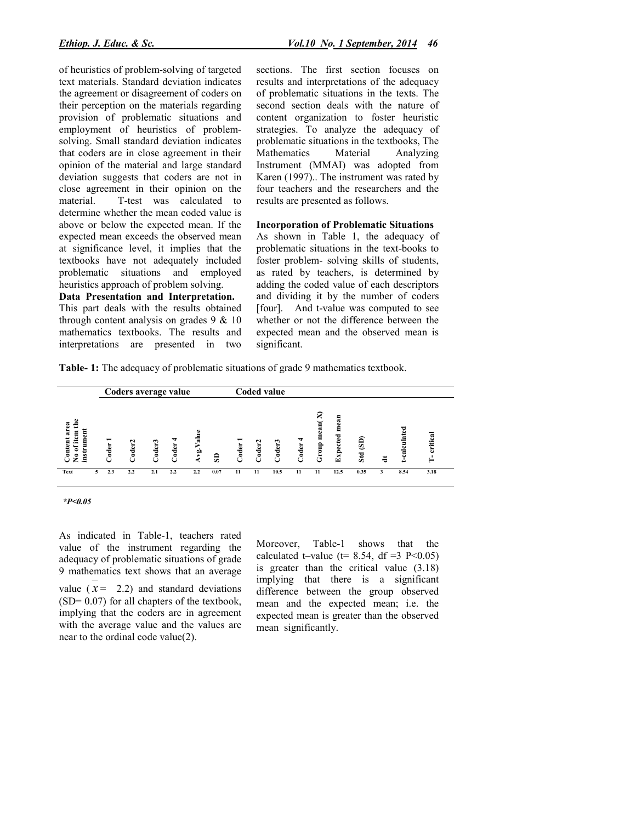of heuristics of problem-solving of targeted text materials. Standard deviation indicates the agreement or disagreement of coders on their perception on the materials regarding provision of problematic situations and employment of heuristics of problemsolving. Small standard deviation indicates that coders are in close agreement in their opinion of the material and large standard deviation suggests that coders are not in close agreement in their opinion on the material. T-test was calculated to determine whether the mean coded value is above or below the expected mean. If the expected mean exceeds the observed mean at significance level, it implies that the textbooks have not adequately included problematic situations and employed heuristics approach of problem solving.

#### Data Presentation and Interpretation.

This part deals with the results obtained through content analysis on grades  $9 \& 10$ mathematics textbooks. The results and interpretations are presented in two sections. The first section focuses on results and interpretations of the adequacy of problematic situations in the texts. The second section deals with the nature of content organization to foster heuristic strategies. To analyze the adequacy of problematic situations in the textbooks, The Mathematics Material Analyzing Instrument (MMAI) was adopted from Karen (1997).. The instrument was rated by four teachers and the researchers and the results are presented as follows.

#### Incorporation of Problematic Situations

As shown in Table 1, the adequacy of problematic situations in the text-books to foster problem- solving skills of students, as rated by teachers, is determined by adding the coded value of each descriptors and dividing it by the number of coders [four]. And t-value was computed to see whether or not the difference between the expected mean and the observed mean is significant.

Table- 1: The adequacy of problematic situations of grade 9 mathematics textbook.



*\*P<0.05*

As indicated in Table-1, teachers rated value of the instrument regarding the adequacy of problematic situations of grade 9 mathematics text shows that an average value  $(x = 2.2)$  and standard deviations (SD= 0.07) for all chapters of the textbook, implying that the coders are in agreement with the average value and the values are near to the ordinal code value(2).

Moreover, Table-1 shows that the calculated t–value ( $t= 8.54$ , df =3 P<0.05) is greater than the critical value (3.18) implying that there is a significant difference between the group observed mean and the expected mean; i.e. the expected mean is greater than the observed mean significantly.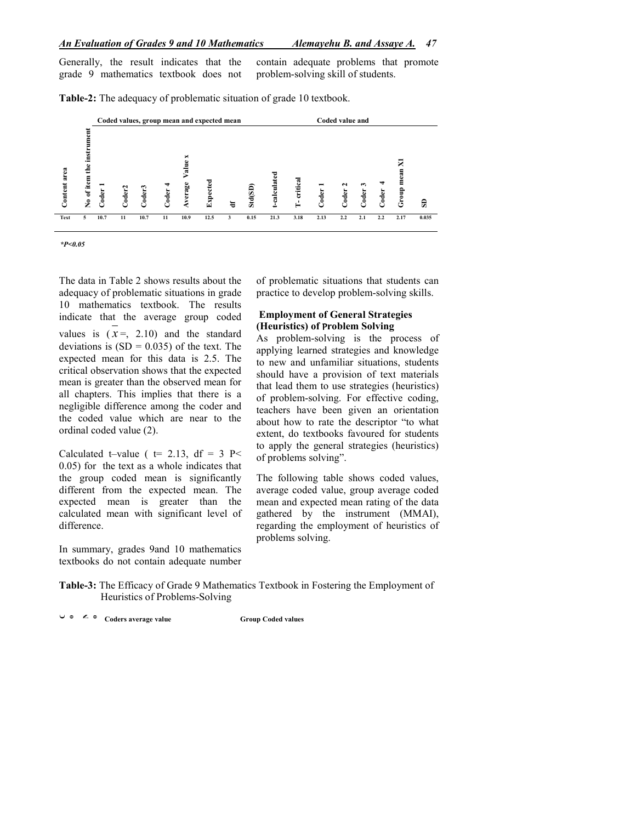#### *An Evaluation of Grades 9 and 10 Mathematics Alemayehu B. and Assaye A. 47*

Generally, the result indicates that the grade 9 mathematics textbook does not contain adequate problems that promote problem-solving skill of students.

Coded values, group mean and expected mean Coded value and Content area<br>No of item the instrument<br>No of item the instrument Average Value x Average Value x mean X1 Group mean X1 t-calculated t-calculated I-critical T- critical **Expected** Coder 1<br>Coder2<br>Coder 4<br>Coder 4 Std(SD) Coder: Group **Coder** Coder Coder  $\mathbb S$ df Text 5 10.7 11 10.7 11 10.9 12.5 3 0.15 21.3 3.18 2.13 2.2 2.1 2.2 2.17 0.035

Table-2: The adequacy of problematic situation of grade 10 textbook.

*\*P<0.05*

The data in Table 2 shows results about the adequacy of problematic situations in grade 10 mathematics textbook. The results indicate that the average group coded values is  $(x=, 2.10)$  and the standard deviations is  $(SD = 0.035)$  of the text. The expected mean for this data is 2.5. The critical observation shows that the expected mean is greater than the observed mean for all chapters. This implies that there is a negligible difference among the coder and the coded value which are near to the ordinal coded value (2).

Calculated t–value (  $t= 2.13$ , df = 3 P< 0.05) for the text as a whole indicates that the group coded mean is significantly different from the expected mean. The expected mean is greater than the calculated mean with significant level of difference.

In summary, grades 9and 10 mathematics textbooks do not contain adequate number of problematic situations that students can practice to develop problem-solving skills.

### Employment of General Strategies (Heuristics) of Problem Solving

As problem-solving is the process of applying learned strategies and knowledge to new and unfamiliar situations, students should have a provision of text materials that lead them to use strategies (heuristics) of problem-solving. For effective coding, teachers have been given an orientation about how to rate the descriptor "to what extent, do textbooks favoured for students to apply the general strategies (heuristics) of problems solving".

The following table shows coded values, average coded value, group average coded mean and expected mean rating of the data gathered by the instrument (MMAI), regarding the employment of heuristics of problems solving.

Table-3: The Efficacy of Grade 9 Mathematics Textbook in Fostering the Employment of Heuristics of Problems-Solving

U  $\circ$   $\leq$   $\circ$  Coders average value Group Coded values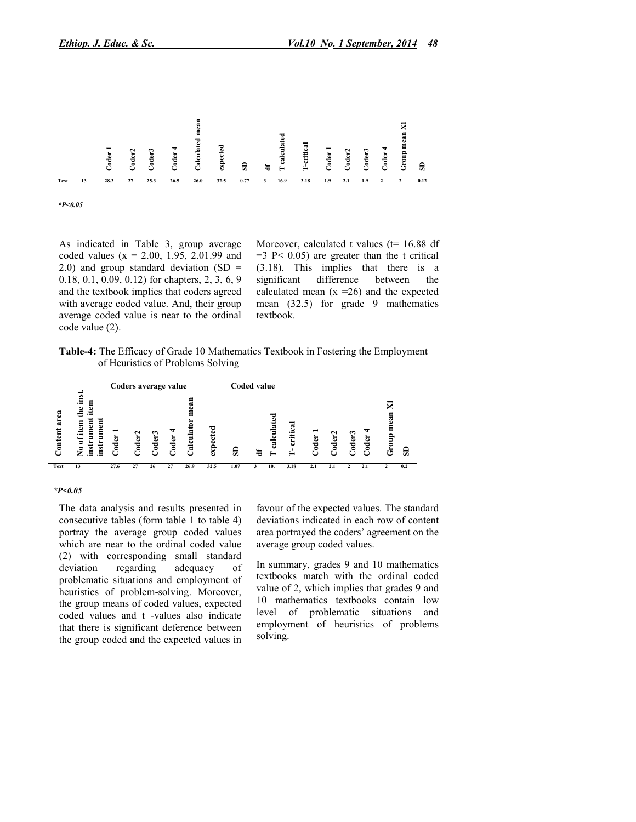

*\*P<0.05*

As indicated in Table 3, group average coded values  $(x = 2.00, 1.95, 2.01.99)$  and 2.0) and group standard deviation  $(SD =$ 0.18, 0.1, 0.09, 0.12) for chapters, 2, 3, 6, 9 and the textbook implies that coders agreed with average coded value. And, their group average coded value is near to the ordinal code value (2).

Moreover, calculated t values ( $t= 16.88$  df  $=3$  P< 0.05) are greater than the t critical (3.18). This implies that there is a significant difference between the difference between the calculated mean  $(x = 26)$  and the expected mean (32.5) for grade 9 mathematics textbook.

Table-4: The Efficacy of Grade 10 Mathematics Textbook in Fostering the Employment of Heuristics of Problems Solving



#### *\*P<0.05*

The data analysis and results presented in consecutive tables (form table 1 to table 4) portray the average group coded values which are near to the ordinal coded value (2) with corresponding small standard deviation regarding adequacy of problematic situations and employment of heuristics of problem-solving. Moreover, the group means of coded values, expected coded values and t -values also indicate that there is significant deference between the group coded and the expected values in

favour of the expected values. The standard deviations indicated in each row of content area portrayed the coders' agreement on the average group coded values.

In summary, grades 9 and 10 mathematics textbooks match with the ordinal coded value of 2, which implies that grades 9 and 10 mathematics textbooks contain low level of problematic situations and employment of heuristics of problems solving.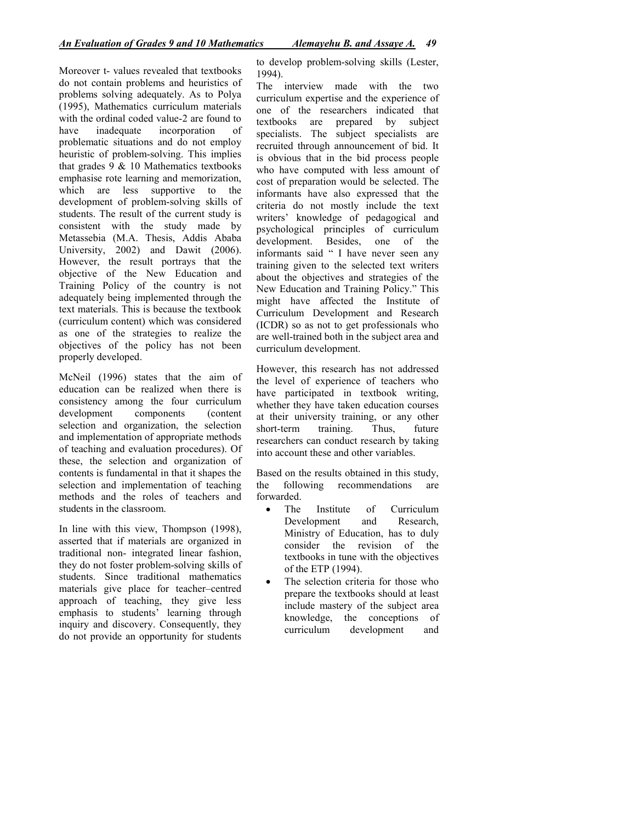Moreover t- values revealed that textbooks do not contain problems and heuristics of problems solving adequately. As to Polya (1995), Mathematics curriculum materials with the ordinal coded value-2 are found to have inadequate incorporation of problematic situations and do not employ heuristic of problem-solving. This implies that grades  $9 \& 10$  Mathematics textbooks emphasise rote learning and memorization, which are less supportive to the development of problem-solving skills of students. The result of the current study is consistent with the study made by Metassebia (M.A. Thesis, Addis Ababa University, 2002) and Dawit (2006). However, the result portrays that the objective of the New Education and Training Policy of the country is not adequately being implemented through the text materials. This is because the textbook (curriculum content) which was considered as one of the strategies to realize the objectives of the policy has not been properly developed.

McNeil (1996) states that the aim of education can be realized when there is consistency among the four curriculum development components (content selection and organization, the selection and implementation of appropriate methods of teaching and evaluation procedures). Of these, the selection and organization of contents is fundamental in that it shapes the selection and implementation of teaching methods and the roles of teachers and students in the classroom.

In line with this view, Thompson (1998), asserted that if materials are organized in traditional non- integrated linear fashion, they do not foster problem-solving skills of students. Since traditional mathematics materials give place for teacher–centred approach of teaching, they give less emphasis to students' learning through inquiry and discovery. Consequently, they do not provide an opportunity for students

to develop problem-solving skills (Lester, 1994).

The interview made with the two curriculum expertise and the experience of one of the researchers indicated that textbooks are prepared by subject specialists. The subject specialists are recruited through announcement of bid. It is obvious that in the bid process people who have computed with less amount of cost of preparation would be selected. The informants have also expressed that the criteria do not mostly include the text writers' knowledge of pedagogical and psychological principles of curriculum development. Besides, one of the informants said " I have never seen any training given to the selected text writers about the objectives and strategies of the New Education and Training Policy." This might have affected the Institute of Curriculum Development and Research (ICDR) so as not to get professionals who are well-trained both in the subject area and curriculum development.

However, this research has not addressed the level of experience of teachers who have participated in textbook writing, whether they have taken education courses at their university training, or any other short-term training. Thus, future researchers can conduct research by taking into account these and other variables.

Based on the results obtained in this study, the following recommendations are forwarded.

- The Institute of Curriculum Development and Research, Ministry of Education, has to duly consider the revision of the textbooks in tune with the objectives of the ETP (1994).
- The selection criteria for those who prepare the textbooks should at least include mastery of the subject area knowledge, the conceptions of curriculum development and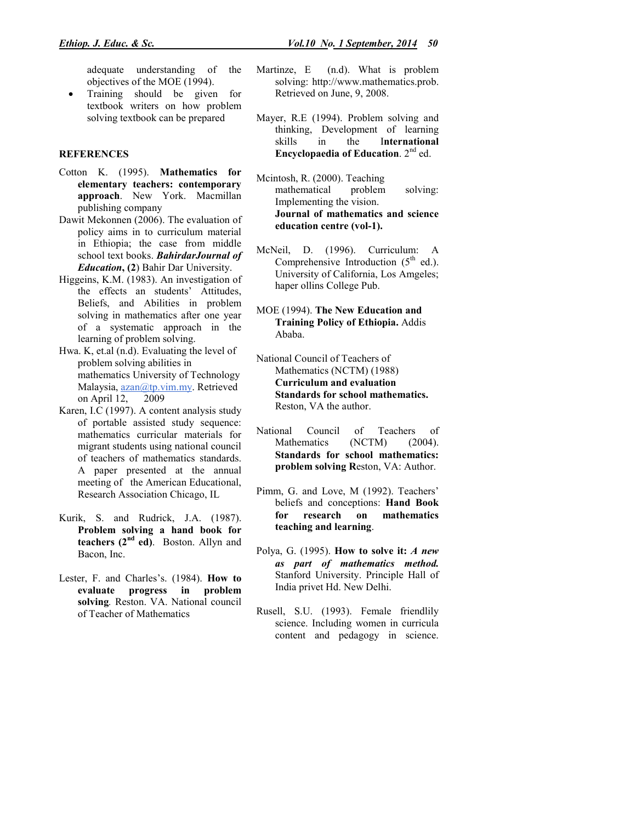adequate understanding of the objectives of the MOE (1994).

 Training should be given for textbook writers on how problem solving textbook can be prepared

#### **REFERENCES**

- Cotton K. (1995). Mathematics for elementary teachers: contemporary approach. New York. Macmillan publishing company
- Dawit Mekonnen (2006). The evaluation of policy aims in to curriculum material in Ethiopia; the case from middle school text books. *BahirdarJournal of Education*, (2) Bahir Dar University.
- Higgeins, K.M. (1983). An investigation of the effects an students' Attitudes, Beliefs, and Abilities in problem solving in mathematics after one year of a systematic approach in the learning of problem solving.
- Hwa. K, et.al (n.d). Evaluating the level of problem solving abilities in mathematics University of Technology Malaysia, azan@tp.vim.my. Retrieved on April 12, 2009
- Karen, I.C (1997). A content analysis study of portable assisted study sequence: mathematics curricular materials for migrant students using national council of teachers of mathematics standards. A paper presented at the annual meeting of the American Educational, Research Association Chicago, IL
- Kurik, S. and Rudrick, J.A. (1987). Problem solving a hand book for teachers  $(2<sup>nd</sup> ed)$ . Boston. Allyn and Bacon, Inc.
- Lester, F. and Charles's. (1984). How to evaluate progress in problem solving*.* Reston. VA. National council of Teacher of Mathematics
- Martinze, E (n.d). What is problem solving: http://www.mathematics.prob. Retrieved on June, 9, 2008.
- Mayer, R.E (1994). Problem solving and thinking, Development of learning skills in the International Encyclopaedia of Education.  $2<sup>nd</sup>$  ed.
- Mcintosh, R. (2000). Teaching mathematical problem solving: Implementing the vision. Journal of mathematics and science education centre (vol-1).
- McNeil, D. (1996). Curriculum: A Comprehensive Introduction  $(5<sup>th</sup> ed.)$ . University of California, Los Amgeles; haper ollins College Pub.
- MOE (1994). The New Education and Training Policy of Ethiopia. Addis Ababa.
- National Council of Teachers of Mathematics (NCTM) (1988) Curriculum and evaluation Standards for school mathematics. Reston, VA the author.
- National Council of Teachers of Mathematics (NCTM) (2004). Standards for school mathematics: problem solving Reston, VA: Author.
- Pimm, G. and Love, M (1992). Teachers' beliefs and conceptions: Hand Book for research on mathematics teaching and learning.
- Polya, G. (1995). How to solve it: *A new as part of mathematics method.* Stanford University. Principle Hall of India privet Hd. New Delhi.
- Rusell, S.U. (1993). Female friendlily science. Including women in curricula content and pedagogy in science.